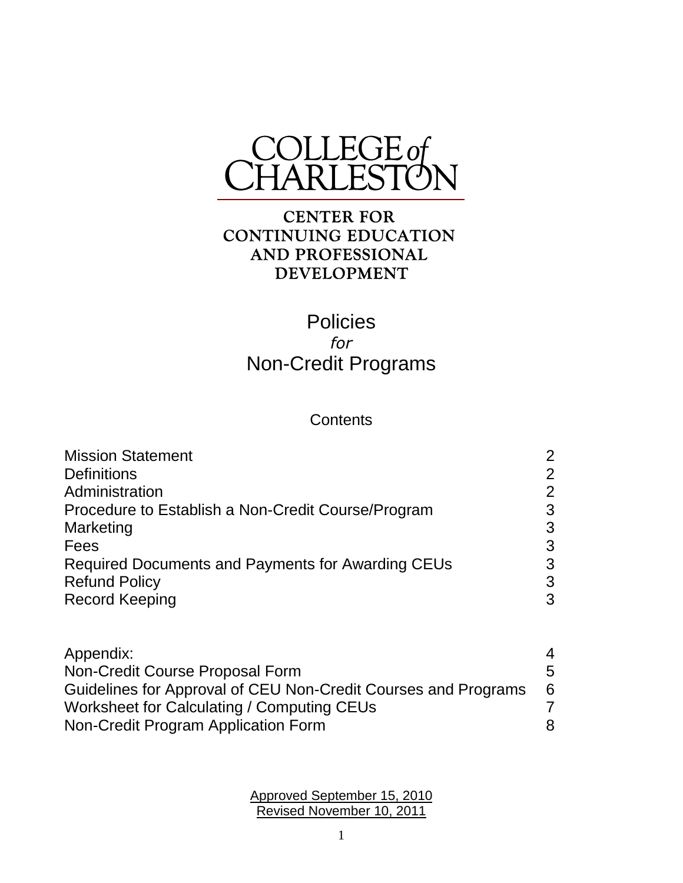

#### **CENTER FOR CONTINUING EDUCATION** AND PROFESSIONAL **DEVELOPMENT**

### **Policies** *for* Non-Credit Programs

#### **Contents**

1

Approved September 15, 2010 Revised November 10, 2011

| <b>Mission Statement</b>                                       | 2              |
|----------------------------------------------------------------|----------------|
| <b>Definitions</b>                                             | $\overline{2}$ |
| Administration                                                 | 2              |
| Procedure to Establish a Non-Credit Course/Program             | 3              |
| Marketing                                                      | 3              |
| Fees                                                           | 3              |
| Required Documents and Payments for Awarding CEUs              | 3              |
| <b>Refund Policy</b>                                           | 3              |
| <b>Record Keeping</b>                                          | 3              |
| Appendix:                                                      | 4              |
| Non-Credit Course Proposal Form                                | 5              |
| Guidelines for Approval of CEU Non-Credit Courses and Programs | 6              |

Worksheet for Calculating / Computing CEUs 7 Non-Credit Program Application Form 8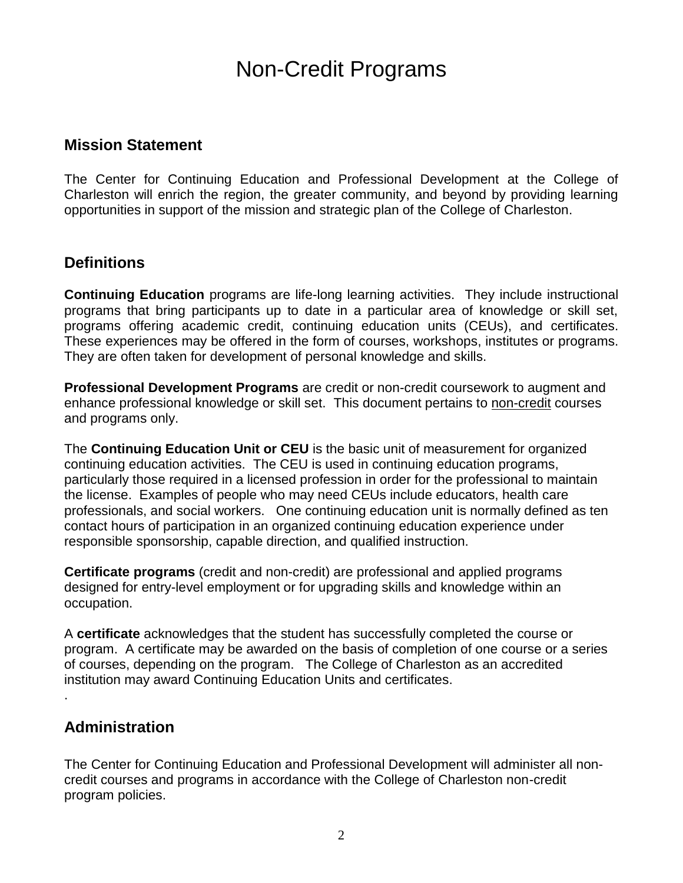## Non-Credit Programs

#### **Mission Statement**

The Center for Continuing Education and Professional Development at the College of Charleston will enrich the region, the greater community, and beyond by providing learning opportunities in support of the mission and strategic plan of the College of Charleston.

#### **Definitions**

**Continuing Education** programs are life-long learning activities. They include instructional programs that bring participants up to date in a particular area of knowledge or skill set, programs offering academic credit, continuing education units (CEUs), and certificates. These experiences may be offered in the form of courses, workshops, institutes or programs. They are often taken for development of personal knowledge and skills.

**Professional Development Programs** are credit or non-credit coursework to augment and enhance professional knowledge or skill set. This document pertains to non-credit courses and programs only.

The **Continuing Education Unit or CEU** is the basic unit of measurement for organized continuing education activities. The CEU is used in continuing education programs, particularly those required in a licensed profession in order for the professional to maintain the license. Examples of people who may need CEUs include educators, health care professionals, and social workers. One continuing education unit is normally defined as ten contact hours of participation in an organized continuing education experience under responsible sponsorship, capable direction, and qualified instruction.

**Certificate programs** (credit and non-credit) are professional and applied programs designed for entry-level employment or for upgrading skills and knowledge within an occupation.

A **certificate** acknowledges that the student has successfully completed the course or program. A certificate may be awarded on the basis of completion of one course or a series of courses, depending on the program. The College of Charleston as an accredited institution may award Continuing Education Units and certificates.

#### **Administration**

.

The Center for Continuing Education and Professional Development will administer all noncredit courses and programs in accordance with the College of Charleston non-credit program policies.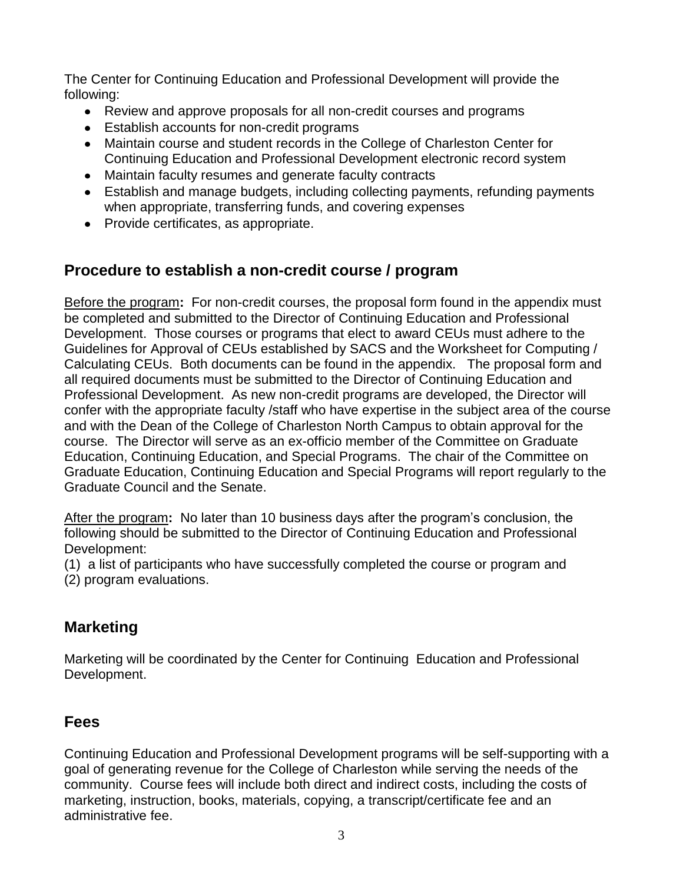The Center for Continuing Education and Professional Development will provide the following:

- Review and approve proposals for all non-credit courses and programs
- Establish accounts for non-credit programs
- Maintain course and student records in the College of Charleston Center for Continuing Education and Professional Development electronic record system
- Maintain faculty resumes and generate faculty contracts
- Establish and manage budgets, including collecting payments, refunding payments when appropriate, transferring funds, and covering expenses
- Provide certificates, as appropriate.

#### **Procedure to establish a non-credit course / program**

Before the program**:** For non-credit courses, the proposal form found in the appendix must be completed and submitted to the Director of Continuing Education and Professional Development. Those courses or programs that elect to award CEUs must adhere to the Guidelines for Approval of CEUs established by SACS and the Worksheet for Computing / Calculating CEUs. Both documents can be found in the appendix. The proposal form and all required documents must be submitted to the Director of Continuing Education and Professional Development. As new non-credit programs are developed, the Director will confer with the appropriate faculty /staff who have expertise in the subject area of the course and with the Dean of the College of Charleston North Campus to obtain approval for the course. The Director will serve as an ex-officio member of the Committee on Graduate Education, Continuing Education, and Special Programs. The chair of the Committee on Graduate Education, Continuing Education and Special Programs will report regularly to the Graduate Council and the Senate.

After the program**:** No later than 10 business days after the program's conclusion, the following should be submitted to the Director of Continuing Education and Professional Development:

(1) a list of participants who have successfully completed the course or program and (2) program evaluations.

#### **Marketing**

Marketing will be coordinated by the Center for Continuing Education and Professional Development.

#### **Fees**

Continuing Education and Professional Development programs will be self-supporting with a goal of generating revenue for the College of Charleston while serving the needs of the community. Course fees will include both direct and indirect costs, including the costs of marketing, instruction, books, materials, copying, a transcript/certificate fee and an administrative fee.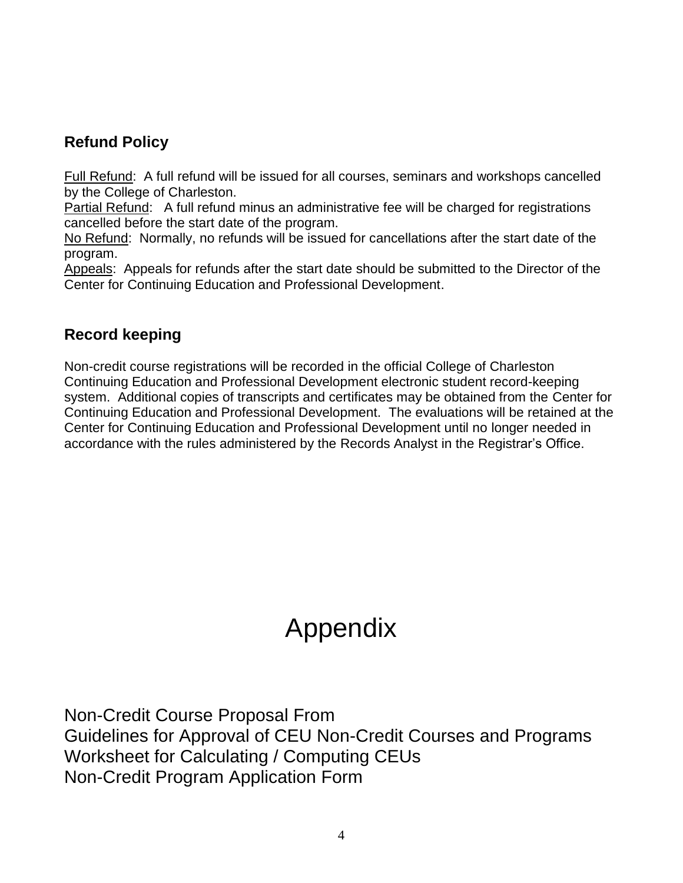#### **Refund Policy**

Full Refund: A full refund will be issued for all courses, seminars and workshops cancelled by the College of Charleston.

Partial Refund: A full refund minus an administrative fee will be charged for registrations cancelled before the start date of the program.

No Refund: Normally, no refunds will be issued for cancellations after the start date of the program.

Appeals: Appeals for refunds after the start date should be submitted to the Director of the Center for Continuing Education and Professional Development.

#### **Record keeping**

Non-credit course registrations will be recorded in the official College of Charleston Continuing Education and Professional Development electronic student record-keeping system. Additional copies of transcripts and certificates may be obtained from the Center for Continuing Education and Professional Development. The evaluations will be retained at the Center for Continuing Education and Professional Development until no longer needed in accordance with the rules administered by the Records Analyst in the Registrar's Office.

# Appendix

Non-Credit Course Proposal From Guidelines for Approval of CEU Non-Credit Courses and Programs Worksheet for Calculating / Computing CEUs Non-Credit Program Application Form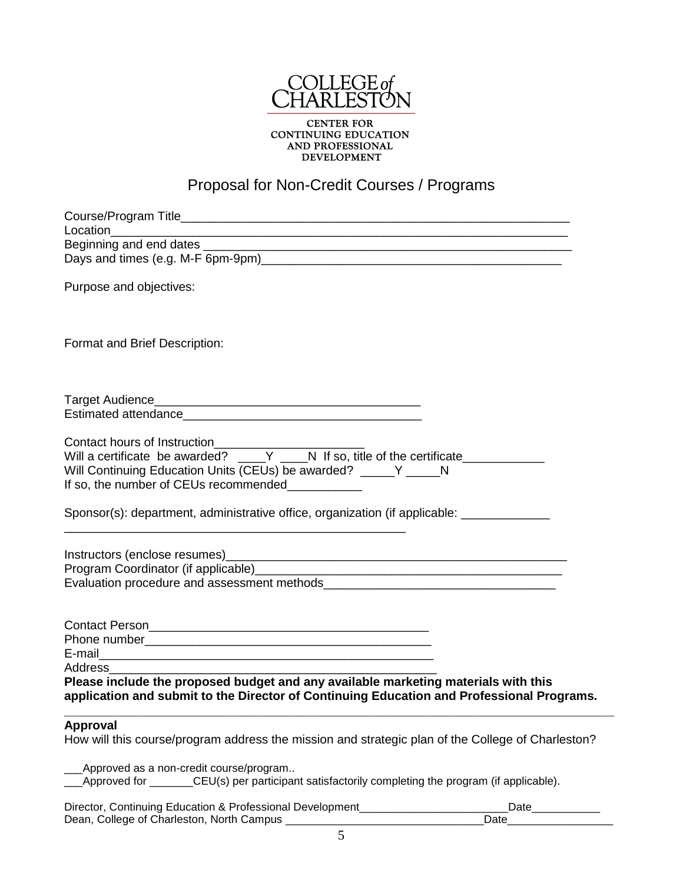

**CENTER FOR** CONTINUING EDUCATION<br>AND PROFESSIONAL<br>DEVELOPMENT

## Proposal for Non-Credit Courses / Programs

| Purpose and objectives:                                                                           |
|---------------------------------------------------------------------------------------------------|
| Format and Brief Description:                                                                     |
|                                                                                                   |
|                                                                                                   |
|                                                                                                   |
|                                                                                                   |
| Will Continuing Education Units (CEUs) be awarded? _____ Y _____ N                                |
| If so, the number of CEUs recommended                                                             |
| Sponsor(s): department, administrative office, organization (if applicable: ___________           |
|                                                                                                   |
|                                                                                                   |
|                                                                                                   |
|                                                                                                   |
|                                                                                                   |
|                                                                                                   |
|                                                                                                   |
| Address                                                                                           |
| Please include the proposed budget and any available marketing materials with this                |
| application and submit to the Director of Continuing Education and Professional Programs.         |
| Approval                                                                                          |
| How will this course/program address the mission and strategic plan of the College of Charleston? |
| Approved as a non-credit course/program                                                           |
| Approved for _______CEU(s) per participant satisfactorily completing the program (if applicable). |

| Director, Continuing Education & Professional Development | Date |
|-----------------------------------------------------------|------|
| Dean, College of Charleston, North Campus                 | Date |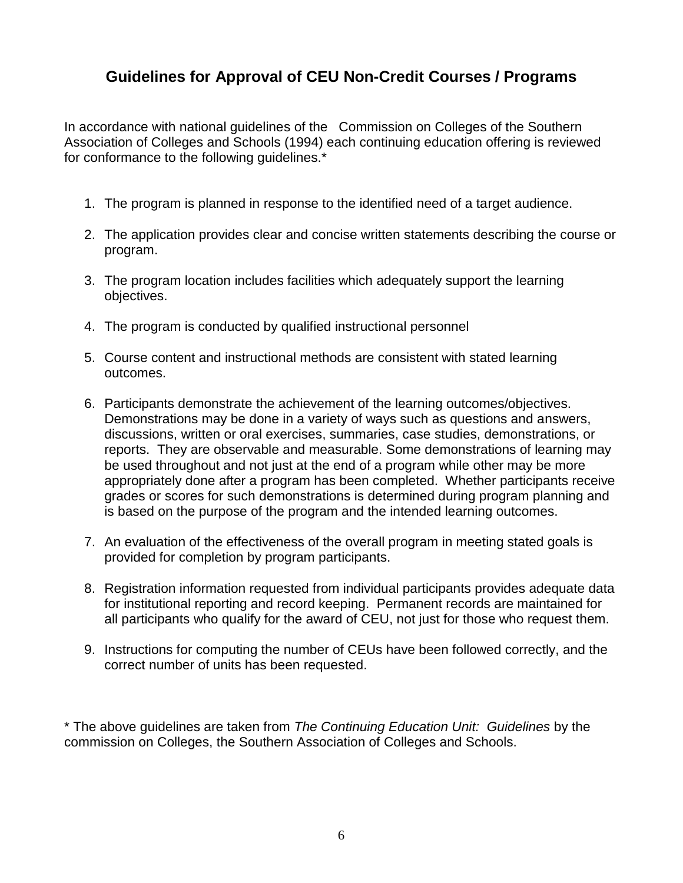#### **Guidelines for Approval of CEU Non-Credit Courses / Programs**

In accordance with national guidelines of the Commission on Colleges of the Southern Association of Colleges and Schools (1994) each continuing education offering is reviewed for conformance to the following guidelines.\*

- 1. The program is planned in response to the identified need of a target audience.
- 2. The application provides clear and concise written statements describing the course or program.
- 3. The program location includes facilities which adequately support the learning objectives.
- 4. The program is conducted by qualified instructional personnel
- 5. Course content and instructional methods are consistent with stated learning outcomes.
- 6. Participants demonstrate the achievement of the learning outcomes/objectives. Demonstrations may be done in a variety of ways such as questions and answers, discussions, written or oral exercises, summaries, case studies, demonstrations, or reports. They are observable and measurable. Some demonstrations of learning may be used throughout and not just at the end of a program while other may be more appropriately done after a program has been completed. Whether participants receive grades or scores for such demonstrations is determined during program planning and is based on the purpose of the program and the intended learning outcomes.
- 7. An evaluation of the effectiveness of the overall program in meeting stated goals is provided for completion by program participants.
- 8. Registration information requested from individual participants provides adequate data for institutional reporting and record keeping. Permanent records are maintained for all participants who qualify for the award of CEU, not just for those who request them.
- 9. Instructions for computing the number of CEUs have been followed correctly, and the correct number of units has been requested.

\* The above guidelines are taken from *The Continuing Education Unit: Guidelines* by the commission on Colleges, the Southern Association of Colleges and Schools.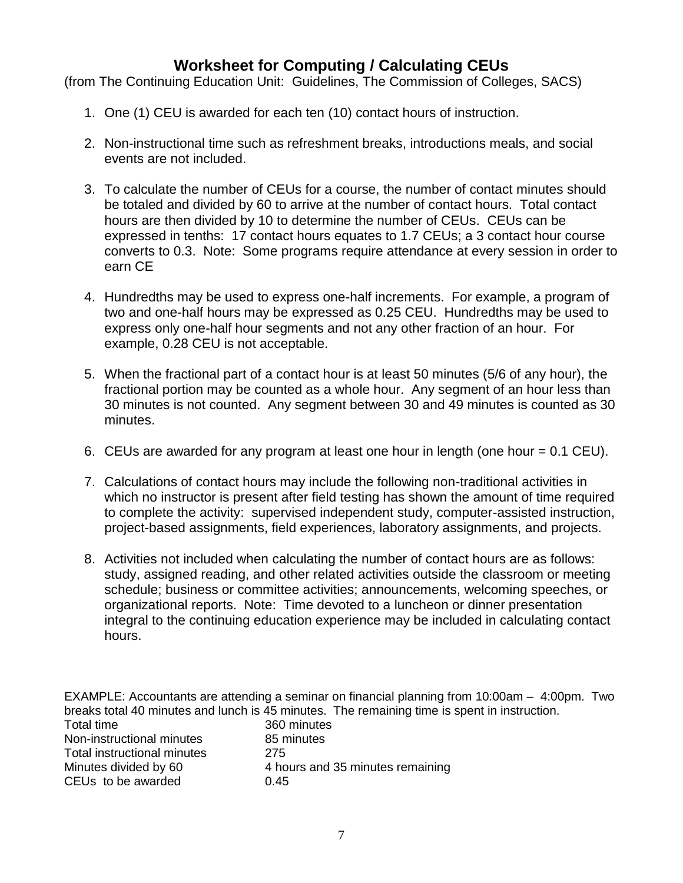#### **Worksheet for Computing / Calculating CEUs**

(from The Continuing Education Unit: Guidelines, The Commission of Colleges, SACS)

- 1. One (1) CEU is awarded for each ten (10) contact hours of instruction.
- 2. Non-instructional time such as refreshment breaks, introductions meals, and social events are not included.
- 3. To calculate the number of CEUs for a course, the number of contact minutes should be totaled and divided by 60 to arrive at the number of contact hours. Total contact hours are then divided by 10 to determine the number of CEUs. CEUs can be expressed in tenths: 17 contact hours equates to 1.7 CEUs; a 3 contact hour course converts to 0.3. Note: Some programs require attendance at every session in order to earn CE
- 4. Hundredths may be used to express one-half increments. For example, a program of two and one-half hours may be expressed as 0.25 CEU. Hundredths may be used to express only one-half hour segments and not any other fraction of an hour. For example, 0.28 CEU is not acceptable.
- 5. When the fractional part of a contact hour is at least 50 minutes (5/6 of any hour), the fractional portion may be counted as a whole hour. Any segment of an hour less than 30 minutes is not counted. Any segment between 30 and 49 minutes is counted as 30 minutes.
- 6. CEUs are awarded for any program at least one hour in length (one hour = 0.1 CEU).
- 7. Calculations of contact hours may include the following non-traditional activities in which no instructor is present after field testing has shown the amount of time required to complete the activity: supervised independent study, computer-assisted instruction, project-based assignments, field experiences, laboratory assignments, and projects.
- 8. Activities not included when calculating the number of contact hours are as follows: study, assigned reading, and other related activities outside the classroom or meeting schedule; business or committee activities; announcements, welcoming speeches, or organizational reports. Note: Time devoted to a luncheon or dinner presentation integral to the continuing education experience may be included in calculating contact hours.

EXAMPLE: Accountants are attending a seminar on financial planning from 10:00am – 4:00pm. Two breaks total 40 minutes and lunch is 45 minutes. The remaining time is spent in instruction. Total time 360 minutes Non-instructional minutes 85 minutes Total instructional minutes 275 Minutes divided by 60 4 hours and 35 minutes remaining CEUs to be awarded 0.45